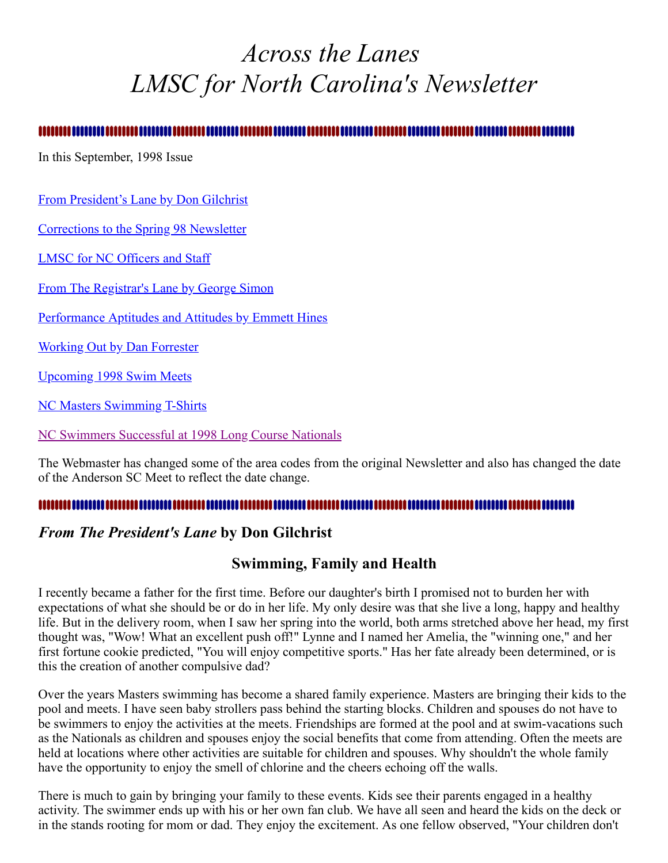# <span id="page-0-1"></span>*Across the Lanes LMSC for North Carolina's Newsletter*

In this September, 1998 Issue

[From President's Lane by Don Gilchrist](#page-0-0)

[Corrections to the Spring 98 Newsletter](#page-2-0)

[LMSC for NC Officers and Staff](#page-2-1)

[From The Registrar's Lane by George Simon](#page-3-0)

[Performance Aptitudes and Attitudes by Emmett Hines](#page-3-1)

Working Out by Dan Forrester

[Upcoming 1998 Swim Meets](#page-5-0)

[NC Masters Swimming T-Shirts](#page-6-0)

[NC Swimmers Successful at 1998 Long Course Nationals](#page-6-1)

The Webmaster has changed some of the area codes from the original Newsletter and also has changed the date of the Anderson SC Meet to reflect the date change.

#### 

#### <span id="page-0-0"></span>*From The President's Lane* **by Don Gilchrist**

#### **Swimming, Family and Health**

I recently became a father for the first time. Before our daughter's birth I promised not to burden her with expectations of what she should be or do in her life. My only desire was that she live a long, happy and healthy life. But in the delivery room, when I saw her spring into the world, both arms stretched above her head, my first thought was, "Wow! What an excellent push off!" Lynne and I named her Amelia, the "winning one," and her first fortune cookie predicted, "You will enjoy competitive sports." Has her fate already been determined, or is this the creation of another compulsive dad?

Over the years Masters swimming has become a shared family experience. Masters are bringing their kids to the pool and meets. I have seen baby strollers pass behind the starting blocks. Children and spouses do not have to be swimmers to enjoy the activities at the meets. Friendships are formed at the pool and at swim-vacations such as the Nationals as children and spouses enjoy the social benefits that come from attending. Often the meets are held at locations where other activities are suitable for children and spouses. Why shouldn't the whole family have the opportunity to enjoy the smell of chlorine and the cheers echoing off the walls.

There is much to gain by bringing your family to these events. Kids see their parents engaged in a healthy activity. The swimmer ends up with his or her own fan club. We have all seen and heard the kids on the deck or in the stands rooting for mom or dad. They enjoy the excitement. As one fellow observed, "Your children don't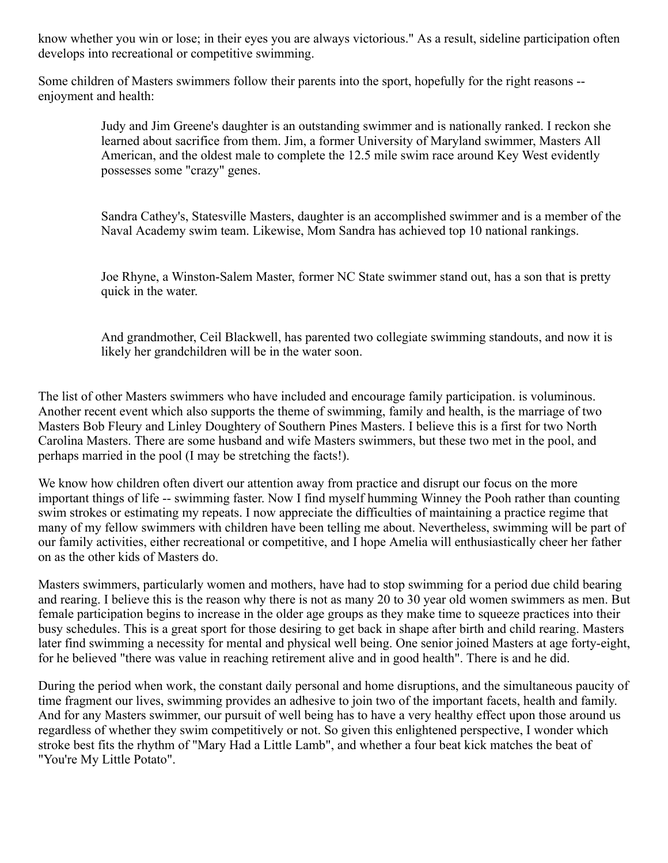know whether you win or lose; in their eyes you are always victorious." As a result, sideline participation often develops into recreational or competitive swimming.

Some children of Masters swimmers follow their parents into the sport, hopefully for the right reasons - enjoyment and health:

> Judy and Jim Greene's daughter is an outstanding swimmer and is nationally ranked. I reckon she learned about sacrifice from them. Jim, a former University of Maryland swimmer, Masters All American, and the oldest male to complete the 12.5 mile swim race around Key West evidently possesses some "crazy" genes.

Sandra Cathey's, Statesville Masters, daughter is an accomplished swimmer and is a member of the Naval Academy swim team. Likewise, Mom Sandra has achieved top 10 national rankings.

Joe Rhyne, a Winston-Salem Master, former NC State swimmer stand out, has a son that is pretty quick in the water.

And grandmother, Ceil Blackwell, has parented two collegiate swimming standouts, and now it is likely her grandchildren will be in the water soon.

The list of other Masters swimmers who have included and encourage family participation. is voluminous. Another recent event which also supports the theme of swimming, family and health, is the marriage of two Masters Bob Fleury and Linley Doughtery of Southern Pines Masters. I believe this is a first for two North Carolina Masters. There are some husband and wife Masters swimmers, but these two met in the pool, and perhaps married in the pool (I may be stretching the facts!).

We know how children often divert our attention away from practice and disrupt our focus on the more important things of life -- swimming faster. Now I find myself humming Winney the Pooh rather than counting swim strokes or estimating my repeats. I now appreciate the difficulties of maintaining a practice regime that many of my fellow swimmers with children have been telling me about. Nevertheless, swimming will be part of our family activities, either recreational or competitive, and I hope Amelia will enthusiastically cheer her father on as the other kids of Masters do.

Masters swimmers, particularly women and mothers, have had to stop swimming for a period due child bearing and rearing. I believe this is the reason why there is not as many 20 to 30 year old women swimmers as men. But female participation begins to increase in the older age groups as they make time to squeeze practices into their busy schedules. This is a great sport for those desiring to get back in shape after birth and child rearing. Masters later find swimming a necessity for mental and physical well being. One senior joined Masters at age forty-eight, for he believed "there was value in reaching retirement alive and in good health". There is and he did.

During the period when work, the constant daily personal and home disruptions, and the simultaneous paucity of time fragment our lives, swimming provides an adhesive to join two of the important facets, health and family. And for any Masters swimmer, our pursuit of well being has to have a very healthy effect upon those around us regardless of whether they swim competitively or not. So given this enlightened perspective, I wonder which stroke best fits the rhythm of "Mary Had a Little Lamb", and whether a four beat kick matches the beat of "You're My Little Potato".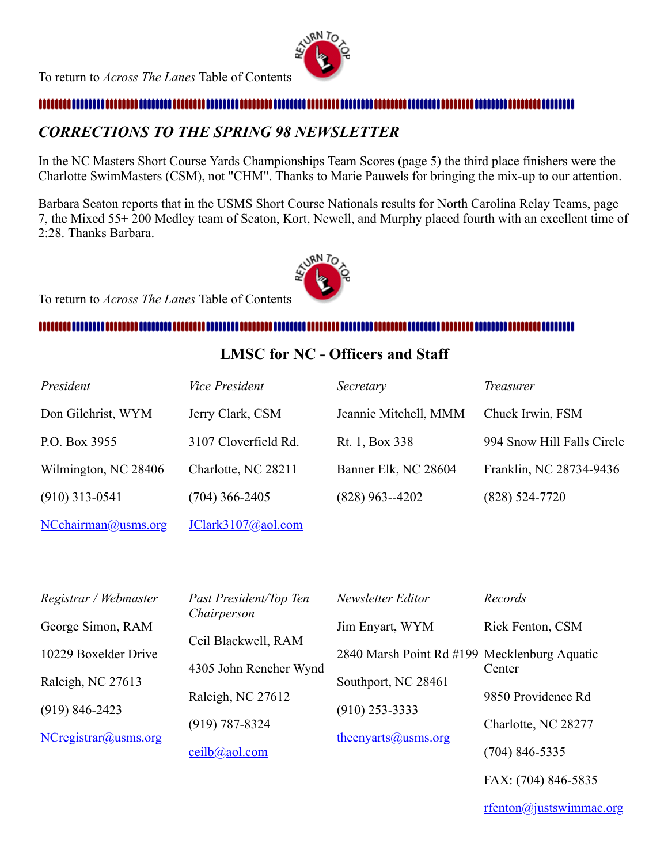

#### 

### <span id="page-2-0"></span>*CORRECTIONS TO THE SPRING 98 NEWSLETTER*

In the NC Masters Short Course Yards Championships Team Scores (page 5) the third place finishers were the Charlotte SwimMasters (CSM), not "CHM". Thanks to Marie Pauwels for bringing the mix-up to our attention.

Barbara Seaton reports that in the USMS Short Course Nationals results for North Carolina Relay Teams, page 7, the Mixed 55+ 200 Medley team of Seaton, Kort, Newell, and Murphy placed fourth with an excellent time of 2:28. Thanks Barbara.



To return to *Across The Lanes* Table of Contents

#### 

#### <span id="page-2-1"></span>**LMSC for NC - Officers and Staff**

| President            | <b>Vice President</b> | Secretary             | <i>Treasurer</i>           |
|----------------------|-----------------------|-----------------------|----------------------------|
| Don Gilchrist, WYM   | Jerry Clark, CSM      | Jeannie Mitchell, MMM | Chuck Irwin, FSM           |
| P.O. Box 3955        | 3107 Cloverfield Rd.  | Rt. 1, Box 338        | 994 Snow Hill Falls Circle |
| Wilmington, NC 28406 | Charlotte, NC 28211   | Banner Elk, NC 28604  | Franklin, NC 28734-9436    |
| $(910)$ 313-0541     | $(704)$ 366-2405      | $(828)$ 963--4202     | $(828) 524 - 7720$         |
| NCchairman@usms.org  | JClark3107@aol.com    |                       |                            |

| Registrar / Webmaster | Past President/Top Ten | Newsletter Editor                            | Records             |
|-----------------------|------------------------|----------------------------------------------|---------------------|
| George Simon, RAM     | Chairperson            | Jim Enyart, WYM                              | Rick Fenton, CSM    |
| 10229 Boxelder Drive  | Ceil Blackwell, RAM    | 2840 Marsh Point Rd #199 Mecklenburg Aquatic |                     |
| Raleigh, NC 27613     | 4305 John Rencher Wynd | Southport, NC 28461                          | Center              |
| $(919) 846 - 2423$    | Raleigh, NC 27612      | $(910)$ 253-3333                             | 9850 Providence Rd  |
| NCregistrar@usms.org  | $(919) 787 - 8324$     | $theenyarts@usms.org$                        | Charlotte, NC 28277 |
|                       | ceilb@aol.com          |                                              | $(704)$ 846-5335    |

FAX: (704) 846-5835

[rfenton@justswimmac.org](mailto:rfenton@justswimmac.org)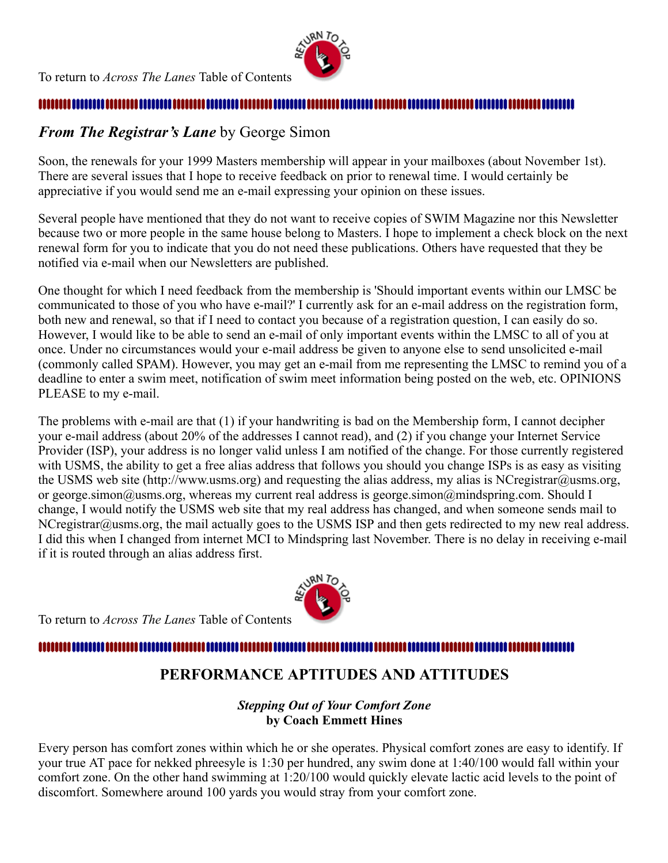

#### ... ........ ........ ...........

### <span id="page-3-0"></span>*From The Registrar's Lane* by George Simon

Soon, the renewals for your 1999 Masters membership will appear in your mailboxes (about November 1st). There are several issues that I hope to receive feedback on prior to renewal time. I would certainly be appreciative if you would send me an e-mail expressing your opinion on these issues.

Several people have mentioned that they do not want to receive copies of SWIM Magazine nor this Newsletter because two or more people in the same house belong to Masters. I hope to implement a check block on the next renewal form for you to indicate that you do not need these publications. Others have requested that they be notified via e-mail when our Newsletters are published.

One thought for which I need feedback from the membership is 'Should important events within our LMSC be communicated to those of you who have e-mail?' I currently ask for an e-mail address on the registration form, both new and renewal, so that if I need to contact you because of a registration question, I can easily do so. However, I would like to be able to send an e-mail of only important events within the LMSC to all of you at once. Under no circumstances would your e-mail address be given to anyone else to send unsolicited e-mail (commonly called SPAM). However, you may get an e-mail from me representing the LMSC to remind you of a deadline to enter a swim meet, notification of swim meet information being posted on the web, etc. OPINIONS PLEASE to my e-mail.

The problems with e-mail are that (1) if your handwriting is bad on the Membership form, I cannot decipher your e-mail address (about 20% of the addresses I cannot read), and (2) if you change your Internet Service Provider (ISP), your address is no longer valid unless I am notified of the change. For those currently registered with USMS, the ability to get a free alias address that follows you should you change ISPs is as easy as visiting the USMS web site (http://www.usms.org) and requesting the alias address, my alias is NCregistrar@usms.org, or george.simon@usms.org, whereas my current real address is george.simon@mindspring.com. Should I change, I would notify the USMS web site that my real address has changed, and when someone sends mail to NCregistrar@usms.org, the mail actually goes to the USMS ISP and then gets redirected to my new real address. I did this when I changed from internet MCI to Mindspring last November. There is no delay in receiving e-mail if it is routed through an alias address first.

To return to *Across The Lanes* Table of Contents

#### <span id="page-3-1"></span>...........................

## **PERFORMANCE APTITUDES AND ATTITUDES**

#### *Stepping Out of Your Comfort Zone* **by Coach Emmett Hines**

Every person has comfort zones within which he or she operates. Physical comfort zones are easy to identify. If your true AT pace for nekked phreesyle is 1:30 per hundred, any swim done at 1:40/100 would fall within your comfort zone. On the other hand swimming at 1:20/100 would quickly elevate lactic acid levels to the point of discomfort. Somewhere around 100 yards you would stray from your comfort zone.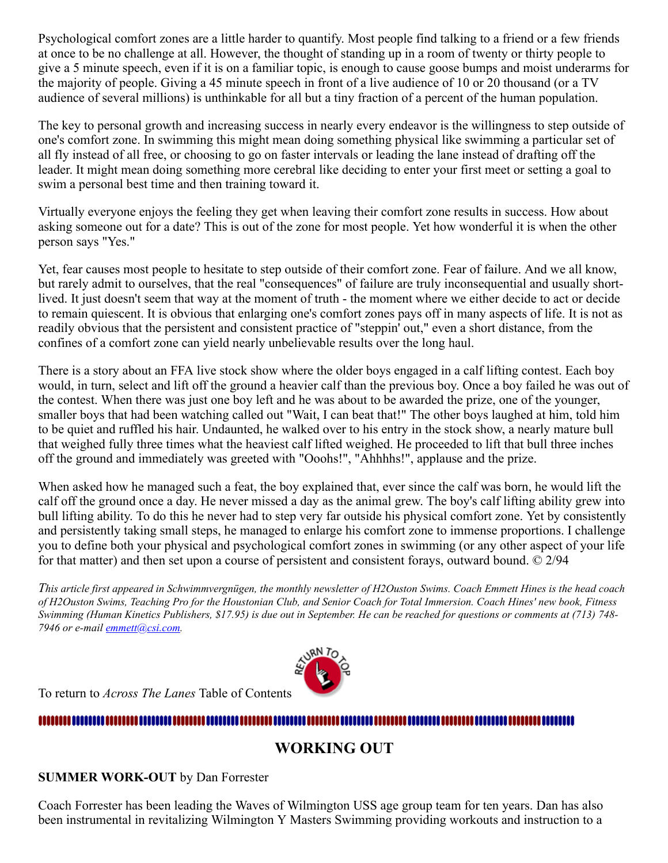Psychological comfort zones are a little harder to quantify. Most people find talking to a friend or a few friends at once to be no challenge at all. However, the thought of standing up in a room of twenty or thirty people to give a 5 minute speech, even if it is on a familiar topic, is enough to cause goose bumps and moist underarms for the majority of people. Giving a 45 minute speech in front of a live audience of 10 or 20 thousand (or a TV audience of several millions) is unthinkable for all but a tiny fraction of a percent of the human population.

The key to personal growth and increasing success in nearly every endeavor is the willingness to step outside of one's comfort zone. In swimming this might mean doing something physical like swimming a particular set of all fly instead of all free, or choosing to go on faster intervals or leading the lane instead of drafting off the leader. It might mean doing something more cerebral like deciding to enter your first meet or setting a goal to swim a personal best time and then training toward it.

Virtually everyone enjoys the feeling they get when leaving their comfort zone results in success. How about asking someone out for a date? This is out of the zone for most people. Yet how wonderful it is when the other person says "Yes."

Yet, fear causes most people to hesitate to step outside of their comfort zone. Fear of failure. And we all know, but rarely admit to ourselves, that the real "consequences" of failure are truly inconsequential and usually shortlived. It just doesn't seem that way at the moment of truth - the moment where we either decide to act or decide to remain quiescent. It is obvious that enlarging one's comfort zones pays off in many aspects of life. It is not as readily obvious that the persistent and consistent practice of "steppin' out," even a short distance, from the confines of a comfort zone can yield nearly unbelievable results over the long haul.

There is a story about an FFA live stock show where the older boys engaged in a calf lifting contest. Each boy would, in turn, select and lift off the ground a heavier calf than the previous boy. Once a boy failed he was out of the contest. When there was just one boy left and he was about to be awarded the prize, one of the younger, smaller boys that had been watching called out "Wait, I can beat that!" The other boys laughed at him, told him to be quiet and ruffled his hair. Undaunted, he walked over to his entry in the stock show, a nearly mature bull that weighed fully three times what the heaviest calf lifted weighed. He proceeded to lift that bull three inches off the ground and immediately was greeted with "Ooohs!", "Ahhhhs!", applause and the prize.

When asked how he managed such a feat, the boy explained that, ever since the calf was born, he would lift the calf off the ground once a day. He never missed a day as the animal grew. The boy's calf lifting ability grew into bull lifting ability. To do this he never had to step very far outside his physical comfort zone. Yet by consistently and persistently taking small steps, he managed to enlarge his comfort zone to immense proportions. I challenge you to define both your physical and psychological comfort zones in swimming (or any other aspect of your life for that matter) and then set upon a course of persistent and consistent forays, outward bound. © 2/94

This article first appeared in Schwimmvergnügen, the monthly newsletter of H2Ouston Swims. Coach Emmett Hines is the head coach of H2Ouston Swims, Teaching Pro for the Houstonian Club, and Senior Coach for Total Immersion. Coach Hines' new book, Fitness Swimming (Human Kinetics Publishers, \$17.95) is due out in September. He can be reached for questions or comments at (713) 748-*7946 or e-mail [emmett@csi.com.](mailto:emmett@csi.com)*



To return to *Across The Lanes* Table of Contents

#### 

### **WORKING OUT**

#### **SUMMER WORK-OUT** by Dan Forrester

Coach Forrester has been leading the Waves of Wilmington USS age group team for ten years. Dan has also been instrumental in revitalizing Wilmington Y Masters Swimming providing workouts and instruction to a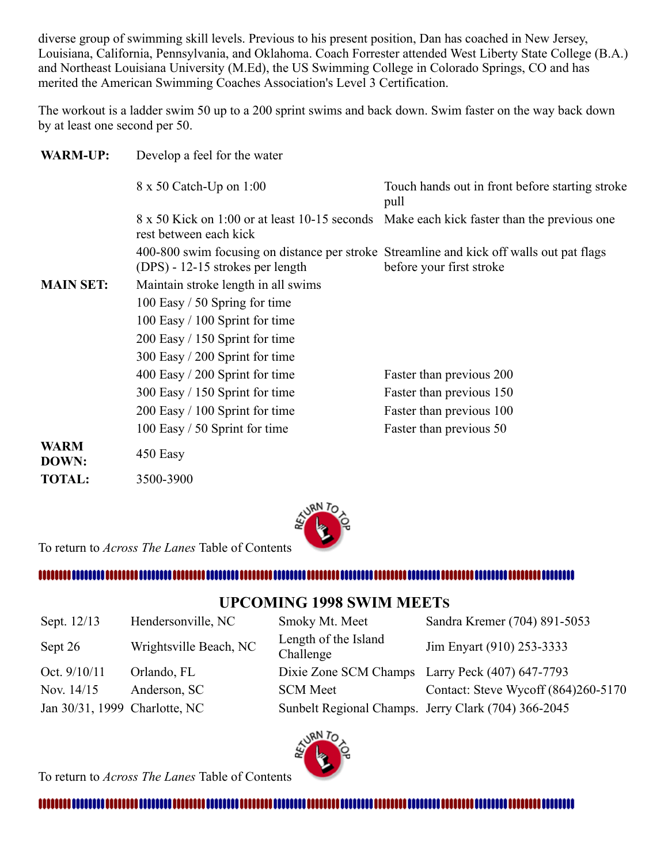diverse group of swimming skill levels. Previous to his present position, Dan has coached in New Jersey, Louisiana, California, Pennsylvania, and Oklahoma. Coach Forrester attended West Liberty State College (B.A.) and Northeast Louisiana University (M.Ed), the US Swimming College in Colorado Springs, CO and has merited the American Swimming Coaches Association's Level 3 Certification.

The workout is a ladder swim 50 up to a 200 sprint swims and back down. Swim faster on the way back down by at least one second per 50.

| <b>WARM-UP:</b>      | Develop a feel for the water                                                                                                 |                                                         |  |
|----------------------|------------------------------------------------------------------------------------------------------------------------------|---------------------------------------------------------|--|
|                      | 8 x 50 Catch-Up on 1:00                                                                                                      | Touch hands out in front before starting stroke<br>pull |  |
|                      | 8 x 50 Kick on 1:00 or at least 10-15 seconds<br>rest between each kick                                                      | Make each kick faster than the previous one.            |  |
|                      | 400-800 swim focusing on distance per stroke Streamline and kick off walls out pat flags<br>(DPS) - 12-15 strokes per length | before your first stroke                                |  |
| <b>MAIN SET:</b>     | Maintain stroke length in all swims                                                                                          |                                                         |  |
|                      | 100 Easy / 50 Spring for time                                                                                                |                                                         |  |
|                      | 100 Easy $/ 100$ Sprint for time                                                                                             |                                                         |  |
|                      | $200$ Easy / 150 Sprint for time                                                                                             |                                                         |  |
|                      | 300 Easy / 200 Sprint for time                                                                                               |                                                         |  |
|                      | $400$ Easy $/ 200$ Sprint for time                                                                                           | Faster than previous 200                                |  |
|                      | 300 Easy / 150 Sprint for time                                                                                               | Faster than previous 150                                |  |
|                      | 200 Easy / 100 Sprint for time                                                                                               | Faster than previous 100                                |  |
|                      | 100 Easy / 50 Sprint for time                                                                                                | Faster than previous 50                                 |  |
| <b>WARM</b><br>DOWN: | 450 Easy                                                                                                                     |                                                         |  |
| <b>TOTAL:</b>        | 3500-3900                                                                                                                    |                                                         |  |



To return to *Across The Lanes* Table of Contents

#### .............................

#### <span id="page-5-0"></span>**UPCOMING 1998 SWIM MEETS**

| Sept. 12/13                   | Hendersonville, NC     | Smoky Mt. Meet                    | Sandra Kremer (704) 891-5053                        |
|-------------------------------|------------------------|-----------------------------------|-----------------------------------------------------|
| Sept 26                       | Wrightsville Beach, NC | Length of the Island<br>Challenge | Jim Enyart (910) 253-3333                           |
| Oct. 9/10/11                  | Orlando, FL            |                                   | Dixie Zone SCM Champs Larry Peck (407) 647-7793     |
| Nov. 14/15                    | Anderson, SC           | <b>SCM</b> Meet                   | Contact: Steve Wycoff (864)260-5170                 |
| Jan 30/31, 1999 Charlotte, NC |                        |                                   | Sunbelt Regional Champs. Jerry Clark (704) 366-2045 |



To return to *Across The Lanes* Table of Contents

####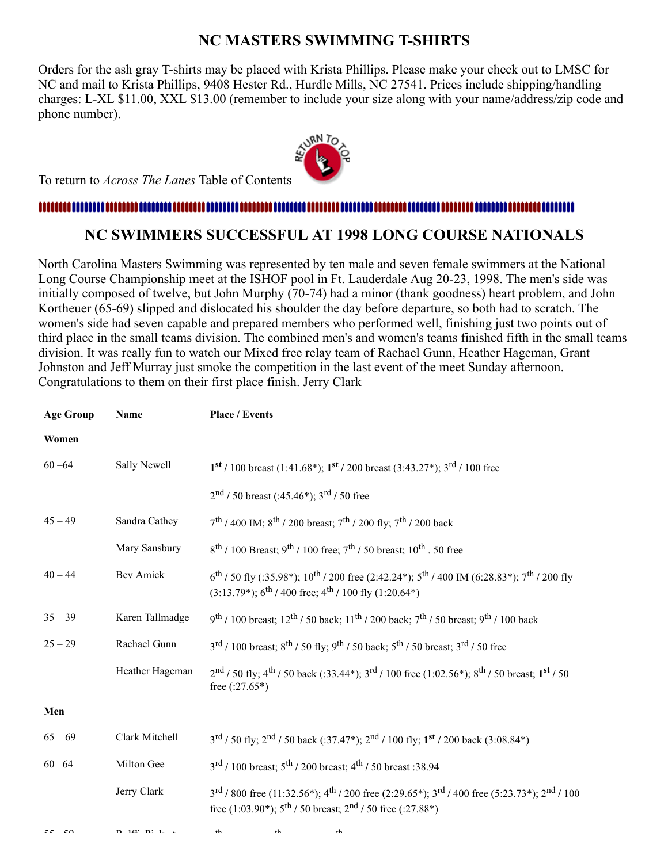### <span id="page-6-0"></span>**NC MASTERS SWIMMING T-SHIRTS**

Orders for the ash gray T-shirts may be placed with Krista Phillips. Please make your check out to LMSC for NC and mail to Krista Phillips, 9408 Hester Rd., Hurdle Mills, NC 27541. Prices include shipping/handling charges: L-XL \$11.00, XXL \$13.00 (remember to include your size along with your name/address/zip code and phone number).



To return to *Across The Lanes* Table of Contents

#### 

### <span id="page-6-1"></span>**NC SWIMMERS SUCCESSFUL AT 1998 LONG COURSE NATIONALS**

North Carolina Masters Swimming was represented by ten male and seven female swimmers at the National Long Course Championship meet at the ISHOF pool in Ft. Lauderdale Aug 20-23, 1998. The men's side was initially composed of twelve, but John Murphy (70-74) had a minor (thank goodness) heart problem, and John Kortheuer (65-69) slipped and dislocated his shoulder the day before departure, so both had to scratch. The women's side had seven capable and prepared members who performed well, finishing just two points out of third place in the small teams division. The combined men's and women's teams finished fifth in the small teams division. It was really fun to watch our Mixed free relay team of Rachael Gunn, Heather Hageman, Grant Johnston and Jeff Murray just smoke the competition in the last event of the meet Sunday afternoon. Congratulations to them on their first place finish. Jerry Clark

| <b>Age Group</b> | Name             | <b>Place / Events</b>                                                                                                                                                                                                            |
|------------------|------------------|----------------------------------------------------------------------------------------------------------------------------------------------------------------------------------------------------------------------------------|
| Women            |                  |                                                                                                                                                                                                                                  |
| $60 - 64$        | Sally Newell     | $1^{st}$ / 100 breast (1:41.68*); $1^{st}$ / 200 breast (3:43.27*); $3^{rd}$ / 100 free                                                                                                                                          |
|                  |                  | $2nd$ / 50 breast (:45.46*); 3 <sup>rd</sup> / 50 free                                                                                                                                                                           |
| $45 - 49$        | Sandra Cathey    | $7^{th}$ / 400 IM; 8 <sup>th</sup> / 200 breast; 7 <sup>th</sup> / 200 fly; 7 <sup>th</sup> / 200 back                                                                                                                           |
|                  | Mary Sansbury    | $8^{th}$ / 100 Breast; 9 <sup>th</sup> / 100 free; 7 <sup>th</sup> / 50 breast; 10 <sup>th</sup> . 50 free                                                                                                                       |
| $40 - 44$        | <b>Bev Amick</b> | $6^{th}$ / 50 fly (:35.98*); 10 <sup>th</sup> / 200 free (2:42.24*); 5 <sup>th</sup> / 400 IM (6:28.83*); 7 <sup>th</sup> / 200 fly<br>$(3:13.79^*)$ ; 6 <sup>th</sup> / 400 free; 4 <sup>th</sup> / 100 fly (1:20.64*)          |
| $35 - 39$        | Karen Tallmadge  | $9^{th}$ / 100 breast; 12 <sup>th</sup> / 50 back; 11 <sup>th</sup> / 200 back; 7 <sup>th</sup> / 50 breast; 9 <sup>th</sup> / 100 back                                                                                          |
| $25 - 29$        | Rachael Gunn     | $3^{\text{rd}}$ / 100 breast; $8^{\text{th}}$ / 50 fly; $9^{\text{th}}$ / 50 back; $5^{\text{th}}$ / 50 breast; $3^{\text{rd}}$ / 50 free                                                                                        |
|                  | Heather Hageman  | $2nd$ / 50 fly; 4 <sup>th</sup> / 50 back (:33.44*); 3 <sup>rd</sup> / 100 free (1:02.56*); 8 <sup>th</sup> / 50 breast; 1 <sup>st</sup> / 50<br>free $(.27.65*)$                                                                |
| Men              |                  |                                                                                                                                                                                                                                  |
| $65 - 69$        | Clark Mitchell   | 3rd / 50 fly; 2nd / 50 back (:37.47*); 2nd / 100 fly; 1 <sup>st</sup> / 200 back (3:08.84*)                                                                                                                                      |
| $60 - 64$        | Milton Gee       | $3^{\text{rd}}$ / 100 breast; $5^{\text{th}}$ / 200 breast; $4^{\text{th}}$ / 50 breast : 38.94                                                                                                                                  |
|                  | Jerry Clark      | $3^{\text{rd}}$ / 800 free (11:32.56*); 4 <sup>th</sup> / 200 free (2:29.65*); 3 <sup>rd</sup> / 400 free (5:23.73*); 2 <sup>nd</sup> / 100<br>free (1:03.90*); $5^{\text{th}}$ / 50 breast; $2^{\text{nd}}$ / 50 free (:27.88*) |

 $55 \times 59$  R  $100 \text{ N}$  is to the term of  $10 \times 10$ th th th